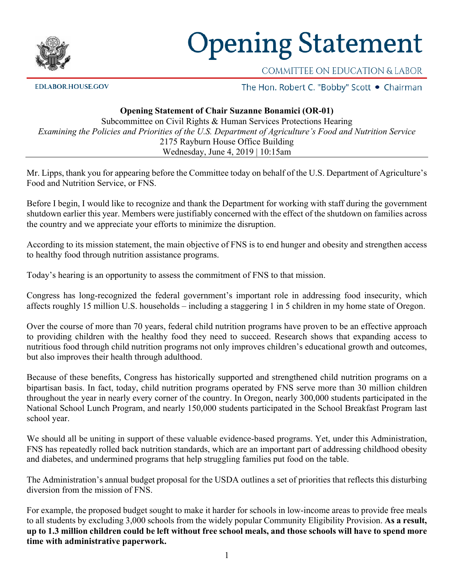

## **Opening Statement**

**EDLABOR.HOUSE.GOV** 

COMMITTEE ON EDUCATION & LABOR

The Hon. Robert C. "Bobby" Scott . Chairman

## **Opening Statement of Chair Suzanne Bonamici (OR-01)**

Subcommittee on Civil Rights & Human Services Protections Hearing *Examining the Policies and Priorities of the U.S. Department of Agriculture's Food and Nutrition Service* 2175 Rayburn House Office Building Wednesday, June 4, 2019 | 10:15am

Mr. Lipps, thank you for appearing before the Committee today on behalf of the U.S. Department of Agriculture's Food and Nutrition Service, or FNS.

Before I begin, I would like to recognize and thank the Department for working with staff during the government shutdown earlier this year. Members were justifiably concerned with the effect of the shutdown on families across the country and we appreciate your efforts to minimize the disruption.

According to its mission statement, the main objective of FNS is to end hunger and obesity and strengthen access to healthy food through nutrition assistance programs.

Today's hearing is an opportunity to assess the commitment of FNS to that mission.

Congress has long-recognized the federal government's important role in addressing food insecurity, which affects roughly 15 million U.S. households – including a staggering 1 in 5 children in my home state of Oregon.

Over the course of more than 70 years, federal child nutrition programs have proven to be an effective approach to providing children with the healthy food they need to succeed. Research shows that expanding access to nutritious food through child nutrition programs not only improves children's educational growth and outcomes, but also improves their health through adulthood.

Because of these benefits, Congress has historically supported and strengthened child nutrition programs on a bipartisan basis. In fact, today, child nutrition programs operated by FNS serve more than 30 million children throughout the year in nearly every corner of the country. In Oregon, nearly 300,000 students participated in the National School Lunch Program, and nearly 150,000 students participated in the School Breakfast Program last school year.

We should all be uniting in support of these valuable evidence-based programs. Yet, under this Administration, FNS has repeatedly rolled back nutrition standards, which are an important part of addressing childhood obesity and diabetes, and undermined programs that help struggling families put food on the table.

The Administration's annual budget proposal for the USDA outlines a set of priorities that reflects this disturbing diversion from the mission of FNS.

For example, the proposed budget sought to make it harder for schools in low-income areas to provide free meals to all students by excluding 3,000 schools from the widely popular Community Eligibility Provision. **As a result, up to 1.3 million children could be left without free school meals, and those schools will have to spend more time with administrative paperwork.**